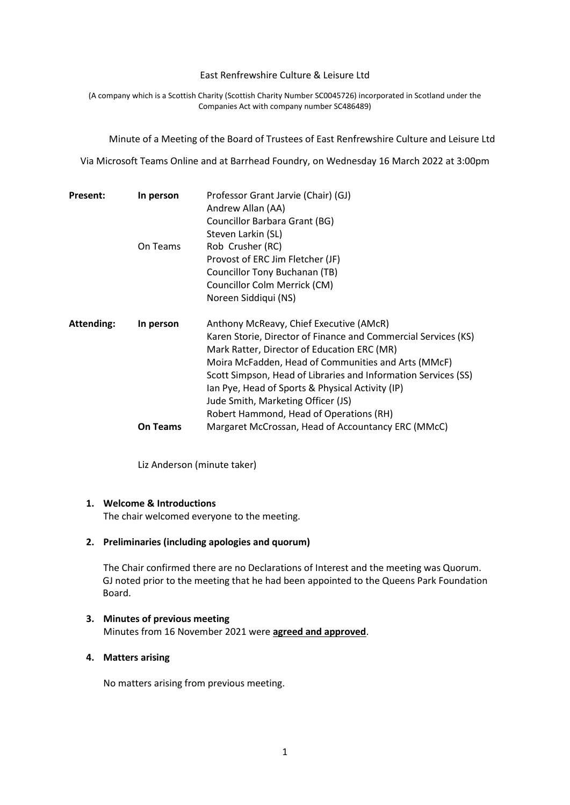#### East Renfrewshire Culture & Leisure Ltd

(A company which is a Scottish Charity (Scottish Charity Number SC0045726) incorporated in Scotland under the Companies Act with company number SC486489)

Minute of a Meeting of the Board of Trustees of East Renfrewshire Culture and Leisure Ltd

Via Microsoft Teams Online and at Barrhead Foundry, on Wednesday 16 March 2022 at 3:00pm

| <b>Present:</b>   | In person       | Professor Grant Jarvie (Chair) (GJ)<br>Andrew Allan (AA)<br>Councillor Barbara Grant (BG)                                                                                                                                                                                                                                                                                                                              |
|-------------------|-----------------|------------------------------------------------------------------------------------------------------------------------------------------------------------------------------------------------------------------------------------------------------------------------------------------------------------------------------------------------------------------------------------------------------------------------|
|                   | On Teams        | Steven Larkin (SL)<br>Rob Crusher (RC)<br>Provost of ERC Jim Fletcher (JF)<br>Councillor Tony Buchanan (TB)<br>Councillor Colm Merrick (CM)<br>Noreen Siddiqui (NS)                                                                                                                                                                                                                                                    |
| <b>Attending:</b> | In person       | Anthony McReavy, Chief Executive (AMcR)<br>Karen Storie, Director of Finance and Commercial Services (KS)<br>Mark Ratter, Director of Education ERC (MR)<br>Moira McFadden, Head of Communities and Arts (MMcF)<br>Scott Simpson, Head of Libraries and Information Services (SS)<br>lan Pye, Head of Sports & Physical Activity (IP)<br>Jude Smith, Marketing Officer (JS)<br>Robert Hammond, Head of Operations (RH) |
|                   | <b>On Teams</b> | Margaret McCrossan, Head of Accountancy ERC (MMcC)                                                                                                                                                                                                                                                                                                                                                                     |

Liz Anderson (minute taker)

### **1. Welcome & Introductions**

The chair welcomed everyone to the meeting.

#### **2. Preliminaries (including apologies and quorum)**

The Chair confirmed there are no Declarations of Interest and the meeting was Quorum. GJ noted prior to the meeting that he had been appointed to the Queens Park Foundation Board.

## **3. Minutes of previous meeting** Minutes from 16 November 2021 were **agreed and approved**.

#### **4. Matters arising**

No matters arising from previous meeting.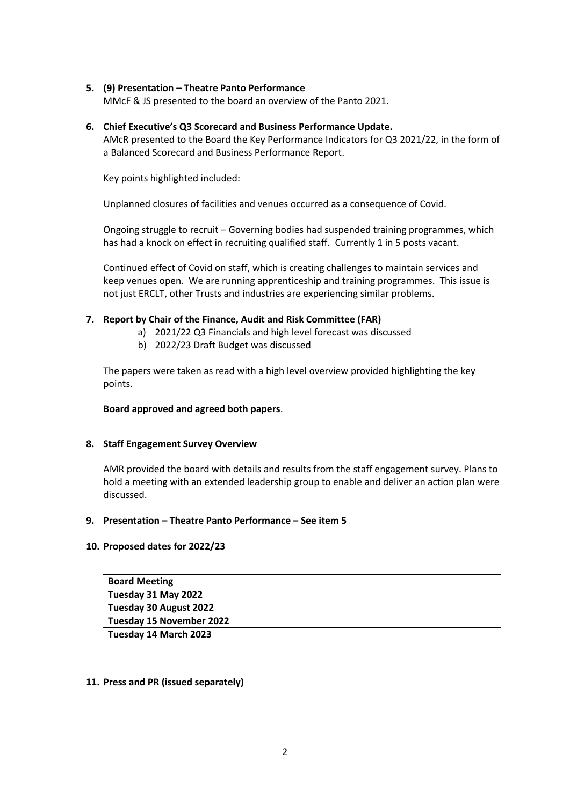# **5. (9) Presentation – Theatre Panto Performance**

MMcF & JS presented to the board an overview of the Panto 2021.

**6. Chief Executive's Q3 Scorecard and Business Performance Update.**  AMcR presented to the Board the Key Performance Indicators for Q3 2021/22, in the form of a Balanced Scorecard and Business Performance Report.

Key points highlighted included:

Unplanned closures of facilities and venues occurred as a consequence of Covid.

Ongoing struggle to recruit – Governing bodies had suspended training programmes, which has had a knock on effect in recruiting qualified staff. Currently 1 in 5 posts vacant.

Continued effect of Covid on staff, which is creating challenges to maintain services and keep venues open. We are running apprenticeship and training programmes. This issue is not just ERCLT, other Trusts and industries are experiencing similar problems.

## **7. Report by Chair of the Finance, Audit and Risk Committee (FAR)**

- a) 2021/22 Q3 Financials and high level forecast was discussed
	- b) 2022/23 Draft Budget was discussed

The papers were taken as read with a high level overview provided highlighting the key points.

#### **Board approved and agreed both papers**.

#### **8. Staff Engagement Survey Overview**

AMR provided the board with details and results from the staff engagement survey. Plans to hold a meeting with an extended leadership group to enable and deliver an action plan were discussed.

#### **9. Presentation – Theatre Panto Performance – See item 5**

#### **10. Proposed dates for 2022/23**

| <b>Board Meeting</b>     |
|--------------------------|
| Tuesday 31 May 2022      |
| Tuesday 30 August 2022   |
| Tuesday 15 November 2022 |
| Tuesday 14 March 2023    |

#### **11. Press and PR (issued separately)**